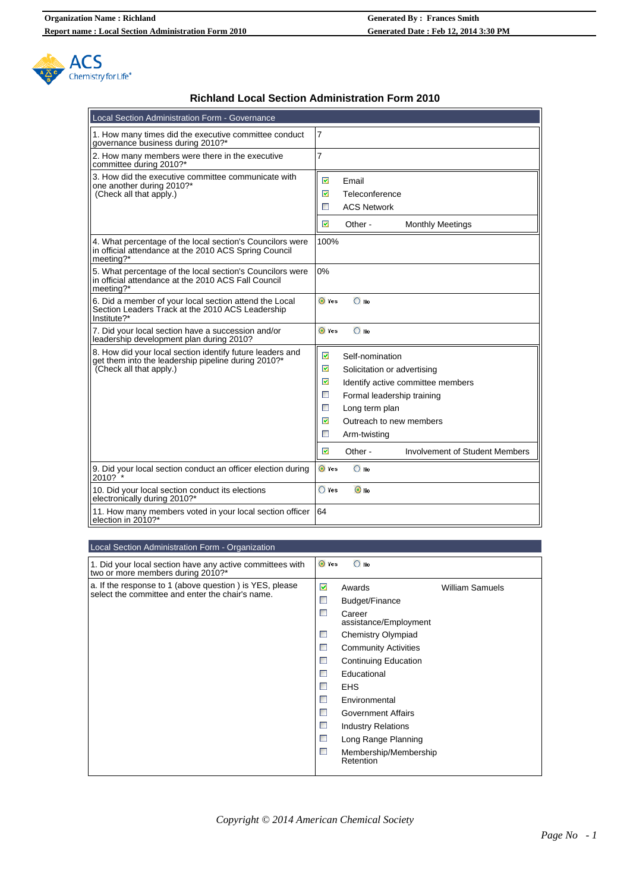

## **Richland Local Section Administration Form 2010**

| Local Section Administration Form - Governance                                                                                              |                                                                                                                                                                                                                                                                                                                                                                   |
|---------------------------------------------------------------------------------------------------------------------------------------------|-------------------------------------------------------------------------------------------------------------------------------------------------------------------------------------------------------------------------------------------------------------------------------------------------------------------------------------------------------------------|
| 1. How many times did the executive committee conduct<br>governance business during 2010?*                                                  | 7                                                                                                                                                                                                                                                                                                                                                                 |
| 2. How many members were there in the executive<br>committee during 2010?*                                                                  | 7                                                                                                                                                                                                                                                                                                                                                                 |
| 3. How did the executive committee communicate with<br>one another during 2010?*<br>(Check all that apply.)                                 | M<br>Email<br>☑<br>Teleconference<br>T<br><b>ACS Network</b><br>M<br>Other -<br><b>Monthly Meetings</b>                                                                                                                                                                                                                                                           |
| 4. What percentage of the local section's Councilors were<br>in official attendance at the 2010 ACS Spring Council<br>meeting?*             | 100%                                                                                                                                                                                                                                                                                                                                                              |
| 5. What percentage of the local section's Councilors were<br>in official attendance at the 2010 ACS Fall Council<br>meeting?*               | 0%                                                                                                                                                                                                                                                                                                                                                                |
| 6. Did a member of your local section attend the Local<br>Section Leaders Track at the 2010 ACS Leadership<br>Institute?*                   | O Yes<br>$\bigcirc$ No                                                                                                                                                                                                                                                                                                                                            |
| 7. Did your local section have a succession and/or<br>leadership development plan during 2010?                                              | $\bigcirc$ No<br>O Yes                                                                                                                                                                                                                                                                                                                                            |
| 8. How did your local section identify future leaders and<br>get them into the leadership pipeline during 2010?*<br>(Check all that apply.) | $\overline{\mathbf{v}}$<br>Self-nomination<br>☑<br>Solicitation or advertising<br>☑<br>Identify active committee members<br>$\mathcal{L}_{\mathcal{A}}$<br>Formal leadership training<br>$\mathcal{L}_{\mathcal{A}}$<br>Long term plan<br>☑<br>Outreach to new members<br>$\mathbb{R}^n$<br>Arm-twisting<br>M<br><b>Involvement of Student Members</b><br>Other - |
| 9. Did your local section conduct an officer election during<br>2010?                                                                       | $\bigcirc$ No<br>O Yes                                                                                                                                                                                                                                                                                                                                            |
| 10. Did your local section conduct its elections<br>electronically during 2010?*                                                            | $\bigcirc$ Yes<br>$\odot$ No                                                                                                                                                                                                                                                                                                                                      |
| 11. How many members voted in your local section officer<br>election in 2010?*                                                              | 64                                                                                                                                                                                                                                                                                                                                                                |

## Local Section Administration Form - Organization

| Loval Occilent Administration Form - Organization                                                           |                                                                                                                                                                                                                                                                                                                                                                                                                                                        |
|-------------------------------------------------------------------------------------------------------------|--------------------------------------------------------------------------------------------------------------------------------------------------------------------------------------------------------------------------------------------------------------------------------------------------------------------------------------------------------------------------------------------------------------------------------------------------------|
| 1. Did your local section have any active committees with<br>two or more members during 2010?*              | O Yes<br>$\bigcirc$ No                                                                                                                                                                                                                                                                                                                                                                                                                                 |
| a. If the response to 1 (above question) is YES, please<br>select the committee and enter the chair's name. | ☑<br><b>William Samuels</b><br>Awards<br>T,<br>Budget/Finance<br>T.<br>Career<br>assistance/Employment<br>靀<br><b>Chemistry Olympiad</b><br>T,<br><b>Community Activities</b><br>靀<br><b>Continuing Education</b><br>Educational<br>T.<br><b>EHS</b><br>$\Box$<br>Environmental<br>T.<br>Government Affairs<br>$\mathcal{C}_{\mathcal{A}}$<br><b>Industry Relations</b><br>Long Range Planning<br>$\mathbb{R}^3$<br>Membership/Membership<br>Retention |
|                                                                                                             |                                                                                                                                                                                                                                                                                                                                                                                                                                                        |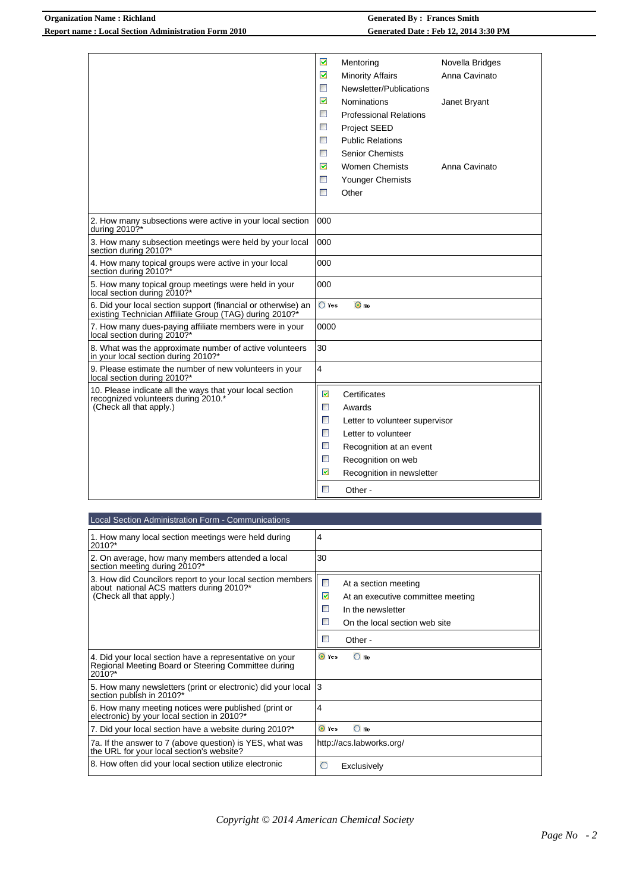## **Organization Name : Richland Generated By : Frances Smith Report name : Local Section Administration Form 2010 Generated Date : Feb 12, 2014 3:30 PM**

|                                                                                                                          | ☑                           | Mentoring                      | Novella Bridges |
|--------------------------------------------------------------------------------------------------------------------------|-----------------------------|--------------------------------|-----------------|
|                                                                                                                          | ☑                           | <b>Minority Affairs</b>        | Anna Cavinato   |
|                                                                                                                          | П                           | Newsletter/Publications        |                 |
|                                                                                                                          | $\overline{\mathbf{v}}$     | <b>Nominations</b>             | Janet Bryant    |
|                                                                                                                          | <b>T</b>                    | <b>Professional Relations</b>  |                 |
|                                                                                                                          | П                           | Project SEED                   |                 |
|                                                                                                                          | $\mathbb{R}^n$              | <b>Public Relations</b>        |                 |
|                                                                                                                          | $\mathbb{R}^n$              | <b>Senior Chemists</b>         |                 |
|                                                                                                                          | $\overline{\mathbf{v}}$     | <b>Women Chemists</b>          | Anna Cavinato   |
|                                                                                                                          | $\mathcal{L}_{\mathcal{A}}$ | <b>Younger Chemists</b>        |                 |
|                                                                                                                          | $\blacksquare$              | Other                          |                 |
|                                                                                                                          |                             |                                |                 |
| 2. How many subsections were active in your local section<br>during 2010?*                                               | 000                         |                                |                 |
| 3. How many subsection meetings were held by your local<br>section during 2010?*                                         | 000                         |                                |                 |
| 4. How many topical groups were active in your local<br>section during 2010?*                                            | 000                         |                                |                 |
| 5. How many topical group meetings were held in your<br>local section during 2010?*                                      | 000                         |                                |                 |
| 6. Did your local section support (financial or otherwise) an<br>existing Technician Affiliate Group (TAG) during 2010?* | $\bigcirc$ Yes              | $\odot$ No                     |                 |
| 7. How many dues-paying affiliate members were in your<br>local section during 2010?*                                    | 0000                        |                                |                 |
| 8. What was the approximate number of active volunteers<br>in your local section during 2010?*                           | 30                          |                                |                 |
| 9. Please estimate the number of new volunteers in your<br>local section during 2010?*                                   | 4                           |                                |                 |
| 10. Please indicate all the ways that your local section                                                                 | ☑                           | Certificates                   |                 |
| recognized volunteers during 2010.*<br>(Check all that apply.)                                                           | $\Box$                      | Awards                         |                 |
|                                                                                                                          | $\mathbb{R}^n$              | Letter to volunteer supervisor |                 |
|                                                                                                                          | $\blacksquare$              | Letter to volunteer            |                 |
|                                                                                                                          | $\Box$                      | Recognition at an event        |                 |
|                                                                                                                          | $\Box$                      | Recognition on web             |                 |
|                                                                                                                          | ☑                           | Recognition in newsletter      |                 |
|                                                                                                                          | П                           |                                |                 |
|                                                                                                                          |                             | Other -                        |                 |

| Local Section Administration Form - Communications                                                                                |                                                                                                                                                                                 |
|-----------------------------------------------------------------------------------------------------------------------------------|---------------------------------------------------------------------------------------------------------------------------------------------------------------------------------|
| 1. How many local section meetings were held during<br>2010?*                                                                     | 4                                                                                                                                                                               |
| 2. On average, how many members attended a local<br>section meeting during 2010?*                                                 | 30                                                                                                                                                                              |
| 3. How did Councilors report to your local section members<br>about national ACS matters during 2010?*<br>(Check all that apply.) | $\mathcal{V}_{\mathcal{A}}$<br>At a section meeting<br>☑<br>At an executive committee meeting<br>P.<br>In the newsletter<br>D.<br>On the local section web site<br>P.<br>Other- |
| 4. Did your local section have a representative on your<br>Regional Meeting Board or Steering Committee during<br>$2010?$ *       | O Yes<br>$\bigcirc$ No                                                                                                                                                          |
| 5. How many newsletters (print or electronic) did your local<br>section publish in 2010?*                                         | 3                                                                                                                                                                               |
| 6. How many meeting notices were published (print or<br>electronic) by your local section in 2010?*                               | 4                                                                                                                                                                               |
| 7. Did your local section have a website during 2010?*                                                                            | $\bigcirc$ No<br>O Yes                                                                                                                                                          |
| 7a. If the answer to 7 (above question) is YES, what was<br>the URL for your local section's website?                             | http://acs.labworks.org/                                                                                                                                                        |
| 8. How often did your local section utilize electronic                                                                            | $\circ$<br>Exclusively                                                                                                                                                          |